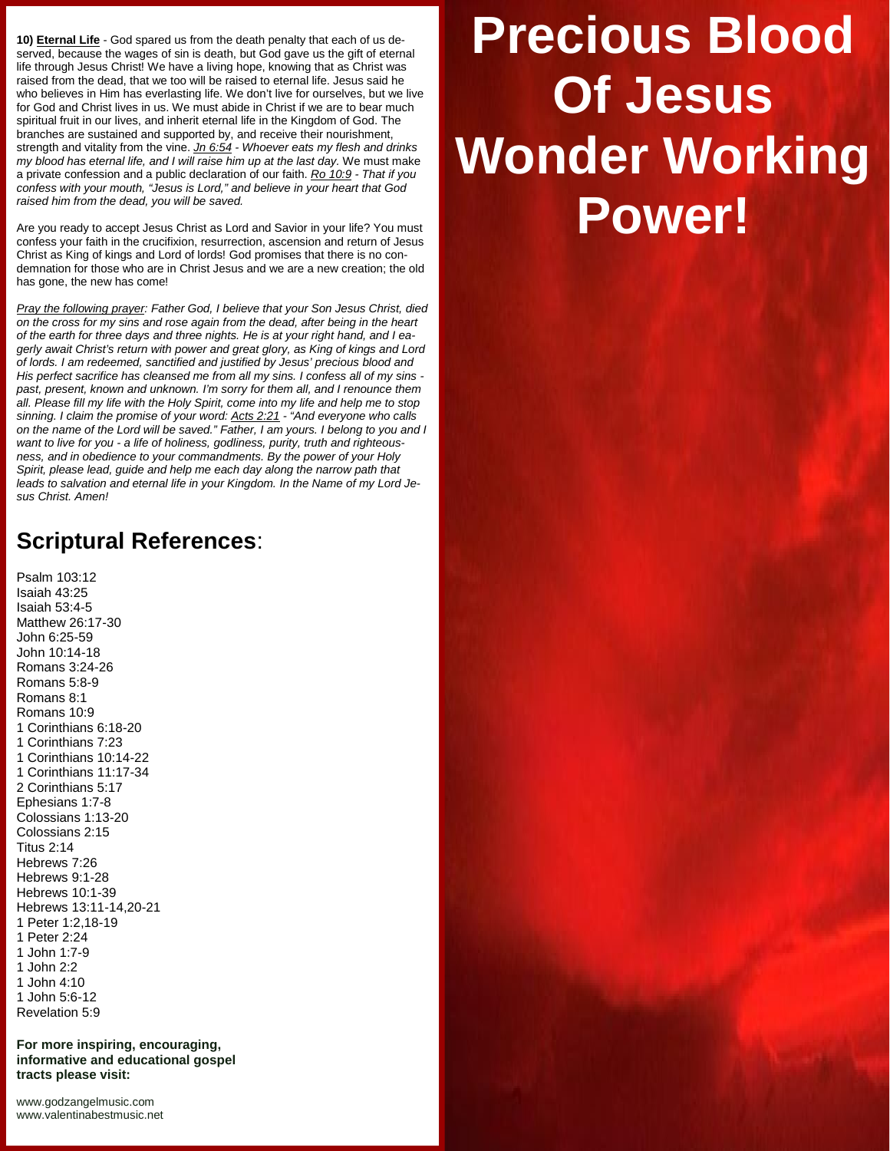**10) Eternal Life** - God spared us from the death penalty that each of us de served, because the wages of sin is death, but God gave us the gift of eternal life through Jesus Christ! We have a living hope, knowing that as Christ was raised from the dead, that we too will be raised to eternal life. Jesus said he who believes in Him has everlasting life. We don't live for ourselves, but we live for God and Christ lives in us. We must abide in Christ if we are to bear much spiritual fruit in our lives, and inherit eternal life in the Kingdom of God. The branches are sustained and supported by, and receive their nourishment, strength and vitality from the vine. *Jn 6:54 - Whoever eats my flesh and drinks my blood has eternal life, and I will raise him up at the last day.* We must make a private confession and a public declaration of our faith. *Ro 10:9 - That if you confess with your mouth, "Jesus is Lord," and believe in your heart that God raised him from the dead, you will be saved.*

Are you ready to accept Jesus Christ as Lord and Savior in your life? You must confess your faith in the crucifixion, resurrection, ascension and return of Jesus Christ as King of kings and Lord of lords! God promises that there is no con demnation for those who are in Christ Jesus and we are a new creation; the old has gone, the new has come!

*Pray the following prayer: Father God, I believe that your Son Jesus Christ, died on the cross for my sins and rose again from the dead, after being in the heart of the earth for three days and three nights. He is at your right hand, and I ea gerly await Christ's return with power and great glory, as King of kings and Lord of lords. I am redeemed, sanctified and justified by Jesus' precious blood and His perfect sacrifice has cleansed me from all my sins. I confess all of my sins past, present, known and unknown. I'm sorry for them all, and I renounce them all. Please fill my life with the Holy Spirit, come into my life and help me to stop sinning. I claim the promise of your word: Acts 2:21 - "And everyone who calls on the name of the Lord will be saved." Father, I am yours. I belong to you and I want to live for you - a life of holiness, godliness, purity, truth and righteous ness, and in obedience to your commandments. By the power of your Holy Spirit, please lead, guide and help me each day along the narrow path that leads to salvation and eternal life in your Kingdom. In the Name of my Lord Je sus Christ. Amen!*

## **Scriptural References**:

Psalm 103:12 Isaiah 43:25 Isaiah 53:4-5 Matthew 26:17-30 John 6:25-59 John 10:14-18 Romans 3:24-26 Romans 5:8-9 Romans 8:1 Romans 10:9 1 Corinthians 6:18-20 1 Corinthians 7:23 1 Corinthians 10:14-22 1 Corinthians 11:17-34 2 Corinthians 5:17 Ephesians 1:7-8 Colossians 1:13-20 Colossians 2:15 Titus 2:14 Hebrews 7:26 Hebrews 9:1-28 Hebrews 10:1-39 Hebrews 13:11-14,20-21 1 Peter 1:2,18-19 1 Peter 2:24 1 John 1:7-9 1 John 2:2 1 John 4:10 1 John 5:6-12 Revelation 5:9

**For more inspiring, encouraging, informative and educational gospel tracts please visit:**

<www.godzangelmusic.com> <www.valentinabestmusic.net>

## **Precious Blood Of Jesus Wonder Working Power!**